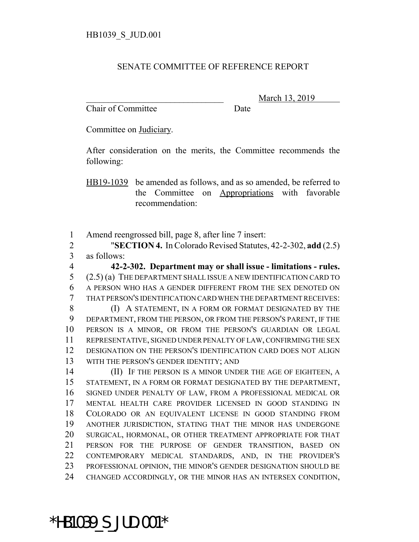## SENATE COMMITTEE OF REFERENCE REPORT

Chair of Committee Date

March 13, 2019

Committee on Judiciary.

After consideration on the merits, the Committee recommends the following:

HB19-1039 be amended as follows, and as so amended, be referred to the Committee on Appropriations with favorable recommendation:

Amend reengrossed bill, page 8, after line 7 insert:

 "**SECTION 4.** In Colorado Revised Statutes, 42-2-302, **add** (2.5) as follows:

 **42-2-302. Department may or shall issue - limitations - rules.** (2.5) (a) THE DEPARTMENT SHALL ISSUE A NEW IDENTIFICATION CARD TO A PERSON WHO HAS A GENDER DIFFERENT FROM THE SEX DENOTED ON THAT PERSON'S IDENTIFICATION CARD WHEN THE DEPARTMENT RECEIVES:

**(I) A STATEMENT, IN A FORM OR FORMAT DESIGNATED BY THE**  DEPARTMENT, FROM THE PERSON, OR FROM THE PERSON'S PARENT, IF THE PERSON IS A MINOR, OR FROM THE PERSON'S GUARDIAN OR LEGAL REPRESENTATIVE, SIGNED UNDER PENALTY OF LAW, CONFIRMING THE SEX DESIGNATION ON THE PERSON'S IDENTIFICATION CARD DOES NOT ALIGN WITH THE PERSON'S GENDER IDENTITY; AND

14 (II) IF THE PERSON IS A MINOR UNDER THE AGE OF EIGHTEEN, A STATEMENT, IN A FORM OR FORMAT DESIGNATED BY THE DEPARTMENT, SIGNED UNDER PENALTY OF LAW, FROM A PROFESSIONAL MEDICAL OR MENTAL HEALTH CARE PROVIDER LICENSED IN GOOD STANDING IN COLORADO OR AN EQUIVALENT LICENSE IN GOOD STANDING FROM ANOTHER JURISDICTION, STATING THAT THE MINOR HAS UNDERGONE SURGICAL, HORMONAL, OR OTHER TREATMENT APPROPRIATE FOR THAT PERSON FOR THE PURPOSE OF GENDER TRANSITION, BASED ON CONTEMPORARY MEDICAL STANDARDS, AND, IN THE PROVIDER'S PROFESSIONAL OPINION, THE MINOR'S GENDER DESIGNATION SHOULD BE CHANGED ACCORDINGLY, OR THE MINOR HAS AN INTERSEX CONDITION,

\*HB1039\_S\_JUD.001\*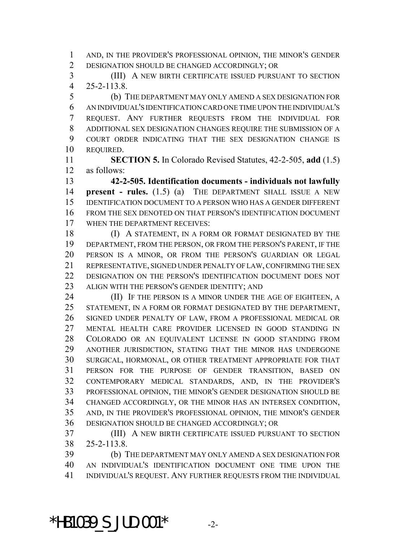AND, IN THE PROVIDER'S PROFESSIONAL OPINION, THE MINOR'S GENDER DESIGNATION SHOULD BE CHANGED ACCORDINGLY; OR

 (III) A NEW BIRTH CERTIFICATE ISSUED PURSUANT TO SECTION 25-2-113.8.

 (b) THE DEPARTMENT MAY ONLY AMEND A SEX DESIGNATION FOR AN INDIVIDUAL'S IDENTIFICATION CARD ONE TIME UPON THE INDIVIDUAL'S REQUEST. ANY FURTHER REQUESTS FROM THE INDIVIDUAL FOR ADDITIONAL SEX DESIGNATION CHANGES REQUIRE THE SUBMISSION OF A COURT ORDER INDICATING THAT THE SEX DESIGNATION CHANGE IS REQUIRED.

 **SECTION 5.** In Colorado Revised Statutes, 42-2-505, **add** (1.5) as follows:

 **42-2-505. Identification documents - individuals not lawfully present - rules.** (1.5) (a) THE DEPARTMENT SHALL ISSUE A NEW IDENTIFICATION DOCUMENT TO A PERSON WHO HAS A GENDER DIFFERENT FROM THE SEX DENOTED ON THAT PERSON'S IDENTIFICATION DOCUMENT WHEN THE DEPARTMENT RECEIVES:

18 (I) A STATEMENT, IN A FORM OR FORMAT DESIGNATED BY THE DEPARTMENT, FROM THE PERSON, OR FROM THE PERSON'S PARENT, IF THE PERSON IS A MINOR, OR FROM THE PERSON'S GUARDIAN OR LEGAL REPRESENTATIVE, SIGNED UNDER PENALTY OF LAW, CONFIRMING THE SEX DESIGNATION ON THE PERSON'S IDENTIFICATION DOCUMENT DOES NOT ALIGN WITH THE PERSON'S GENDER IDENTITY; AND

**(II)** IF THE PERSON IS A MINOR UNDER THE AGE OF EIGHTEEN, A STATEMENT, IN A FORM OR FORMAT DESIGNATED BY THE DEPARTMENT, SIGNED UNDER PENALTY OF LAW, FROM A PROFESSIONAL MEDICAL OR MENTAL HEALTH CARE PROVIDER LICENSED IN GOOD STANDING IN COLORADO OR AN EQUIVALENT LICENSE IN GOOD STANDING FROM ANOTHER JURISDICTION, STATING THAT THE MINOR HAS UNDERGONE SURGICAL, HORMONAL, OR OTHER TREATMENT APPROPRIATE FOR THAT PERSON FOR THE PURPOSE OF GENDER TRANSITION, BASED ON CONTEMPORARY MEDICAL STANDARDS, AND, IN THE PROVIDER'S PROFESSIONAL OPINION, THE MINOR'S GENDER DESIGNATION SHOULD BE CHANGED ACCORDINGLY, OR THE MINOR HAS AN INTERSEX CONDITION, AND, IN THE PROVIDER'S PROFESSIONAL OPINION, THE MINOR'S GENDER DESIGNATION SHOULD BE CHANGED ACCORDINGLY; OR

 (III) A NEW BIRTH CERTIFICATE ISSUED PURSUANT TO SECTION 25-2-113.8.

 (b) THE DEPARTMENT MAY ONLY AMEND A SEX DESIGNATION FOR AN INDIVIDUAL'S IDENTIFICATION DOCUMENT ONE TIME UPON THE INDIVIDUAL'S REQUEST. ANY FURTHER REQUESTS FROM THE INDIVIDUAL

\*HB1039 S JUD.001\*  $-2$ -